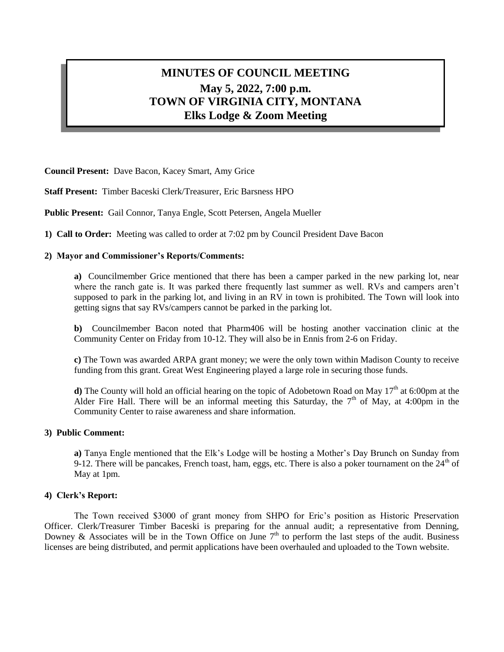# **MINUTES OF COUNCIL MEETING May 5, 2022, 7:00 p.m. TOWN OF VIRGINIA CITY, MONTANA Elks Lodge & Zoom Meeting**

**Council Present:** Dave Bacon, Kacey Smart, Amy Grice

**Staff Present:** Timber Baceski Clerk/Treasurer, Eric Barsness HPO

**Public Present:** Gail Connor, Tanya Engle, Scott Petersen, Angela Mueller

**1) Call to Order:** Meeting was called to order at 7:02 pm by Council President Dave Bacon

## **2) Mayor and Commissioner's Reports/Comments:**

**a)** Councilmember Grice mentioned that there has been a camper parked in the new parking lot, near where the ranch gate is. It was parked there frequently last summer as well. RVs and campers aren't supposed to park in the parking lot, and living in an RV in town is prohibited. The Town will look into getting signs that say RVs/campers cannot be parked in the parking lot.

**b)** Councilmember Bacon noted that Pharm406 will be hosting another vaccination clinic at the Community Center on Friday from 10-12. They will also be in Ennis from 2-6 on Friday.

**c)** The Town was awarded ARPA grant money; we were the only town within Madison County to receive funding from this grant. Great West Engineering played a large role in securing those funds.

**d**) The County will hold an official hearing on the topic of Adobetown Road on May 17<sup>th</sup> at 6:00pm at the Alder Fire Hall. There will be an informal meeting this Saturday, the  $7<sup>th</sup>$  of May, at 4:00pm in the Community Center to raise awareness and share information.

#### **3) Public Comment:**

**a)** Tanya Engle mentioned that the Elk's Lodge will be hosting a Mother's Day Brunch on Sunday from 9-12. There will be pancakes, French toast, ham, eggs, etc. There is also a poker tournament on the  $24<sup>th</sup>$  of May at 1pm.

# **4) Clerk's Report:**

The Town received \$3000 of grant money from SHPO for Eric's position as Historic Preservation Officer. Clerk/Treasurer Timber Baceski is preparing for the annual audit; a representative from Denning, Downey & Associates will be in the Town Office on June  $7<sup>th</sup>$  to perform the last steps of the audit. Business licenses are being distributed, and permit applications have been overhauled and uploaded to the Town website.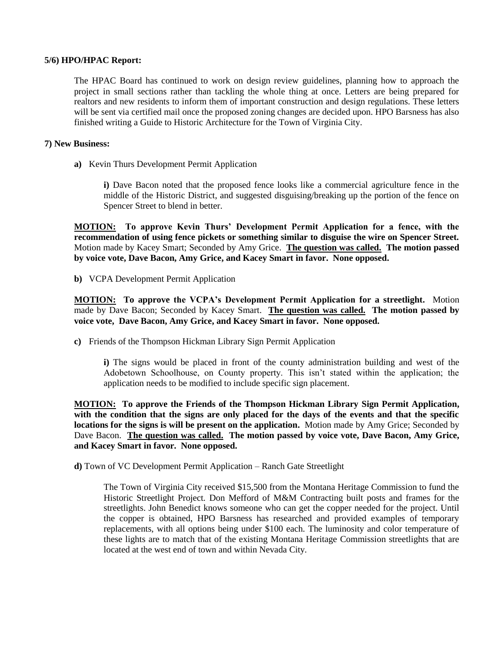## **5/6) HPO/HPAC Report:**

The HPAC Board has continued to work on design review guidelines, planning how to approach the project in small sections rather than tackling the whole thing at once. Letters are being prepared for realtors and new residents to inform them of important construction and design regulations. These letters will be sent via certified mail once the proposed zoning changes are decided upon. HPO Barsness has also finished writing a Guide to Historic Architecture for the Town of Virginia City.

## **7) New Business:**

**a)** Kevin Thurs Development Permit Application

**i)** Dave Bacon noted that the proposed fence looks like a commercial agriculture fence in the middle of the Historic District, and suggested disguising/breaking up the portion of the fence on Spencer Street to blend in better.

**MOTION: To approve Kevin Thurs' Development Permit Application for a fence, with the recommendation of using fence pickets or something similar to disguise the wire on Spencer Street.**  Motion made by Kacey Smart; Seconded by Amy Grice. **The question was called. The motion passed by voice vote, Dave Bacon, Amy Grice, and Kacey Smart in favor. None opposed.**

**b)** VCPA Development Permit Application

**MOTION: To approve the VCPA's Development Permit Application for a streetlight.** Motion made by Dave Bacon; Seconded by Kacey Smart. **The question was called. The motion passed by voice vote, Dave Bacon, Amy Grice, and Kacey Smart in favor. None opposed.**

**c)** Friends of the Thompson Hickman Library Sign Permit Application

**i)** The signs would be placed in front of the county administration building and west of the Adobetown Schoolhouse, on County property. This isn't stated within the application; the application needs to be modified to include specific sign placement.

**MOTION: To approve the Friends of the Thompson Hickman Library Sign Permit Application, with the condition that the signs are only placed for the days of the events and that the specific locations for the signs is will be present on the application.** Motion made by Amy Grice; Seconded by Dave Bacon. **The question was called. The motion passed by voice vote, Dave Bacon, Amy Grice, and Kacey Smart in favor. None opposed.**

**d)** Town of VC Development Permit Application – Ranch Gate Streetlight

The Town of Virginia City received \$15,500 from the Montana Heritage Commission to fund the Historic Streetlight Project. Don Mefford of M&M Contracting built posts and frames for the streetlights. John Benedict knows someone who can get the copper needed for the project. Until the copper is obtained, HPO Barsness has researched and provided examples of temporary replacements, with all options being under \$100 each. The luminosity and color temperature of these lights are to match that of the existing Montana Heritage Commission streetlights that are located at the west end of town and within Nevada City.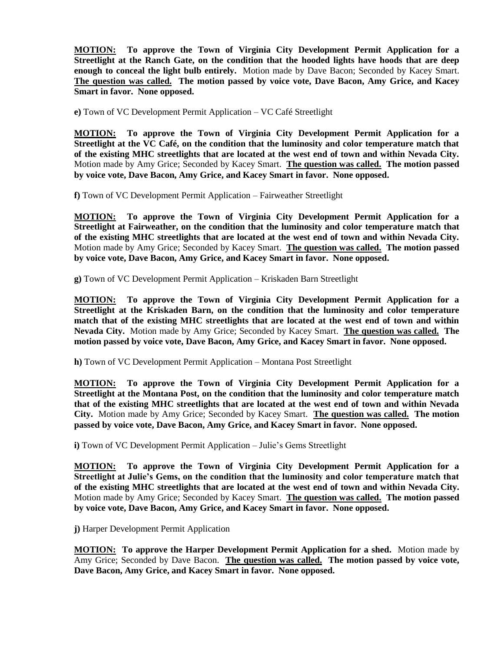**MOTION: To approve the Town of Virginia City Development Permit Application for a Streetlight at the Ranch Gate, on the condition that the hooded lights have hoods that are deep enough to conceal the light bulb entirely.** Motion made by Dave Bacon; Seconded by Kacey Smart. **The question was called. The motion passed by voice vote, Dave Bacon, Amy Grice, and Kacey Smart in favor. None opposed.**

**e)** Town of VC Development Permit Application – VC Café Streetlight

**MOTION: To approve the Town of Virginia City Development Permit Application for a Streetlight at the VC Café, on the condition that the luminosity and color temperature match that of the existing MHC streetlights that are located at the west end of town and within Nevada City.**  Motion made by Amy Grice; Seconded by Kacey Smart. **The question was called. The motion passed by voice vote, Dave Bacon, Amy Grice, and Kacey Smart in favor. None opposed.**

**f)** Town of VC Development Permit Application – Fairweather Streetlight

**MOTION: To approve the Town of Virginia City Development Permit Application for a Streetlight at Fairweather, on the condition that the luminosity and color temperature match that of the existing MHC streetlights that are located at the west end of town and within Nevada City.**  Motion made by Amy Grice; Seconded by Kacey Smart. **The question was called. The motion passed by voice vote, Dave Bacon, Amy Grice, and Kacey Smart in favor. None opposed.**

**g)** Town of VC Development Permit Application – Kriskaden Barn Streetlight

**MOTION: To approve the Town of Virginia City Development Permit Application for a Streetlight at the Kriskaden Barn, on the condition that the luminosity and color temperature match that of the existing MHC streetlights that are located at the west end of town and within Nevada City.** Motion made by Amy Grice; Seconded by Kacey Smart. **The question was called. The motion passed by voice vote, Dave Bacon, Amy Grice, and Kacey Smart in favor. None opposed.**

**h)** Town of VC Development Permit Application – Montana Post Streetlight

**MOTION: To approve the Town of Virginia City Development Permit Application for a Streetlight at the Montana Post, on the condition that the luminosity and color temperature match that of the existing MHC streetlights that are located at the west end of town and within Nevada City.** Motion made by Amy Grice; Seconded by Kacey Smart. **The question was called. The motion passed by voice vote, Dave Bacon, Amy Grice, and Kacey Smart in favor. None opposed.**

**i)** Town of VC Development Permit Application – Julie's Gems Streetlight

**MOTION: To approve the Town of Virginia City Development Permit Application for a Streetlight at Julie's Gems, on the condition that the luminosity and color temperature match that of the existing MHC streetlights that are located at the west end of town and within Nevada City.**  Motion made by Amy Grice; Seconded by Kacey Smart. **The question was called. The motion passed by voice vote, Dave Bacon, Amy Grice, and Kacey Smart in favor. None opposed.**

**j)** Harper Development Permit Application

**MOTION: To approve the Harper Development Permit Application for a shed.** Motion made by Amy Grice; Seconded by Dave Bacon. **The question was called. The motion passed by voice vote, Dave Bacon, Amy Grice, and Kacey Smart in favor. None opposed.**